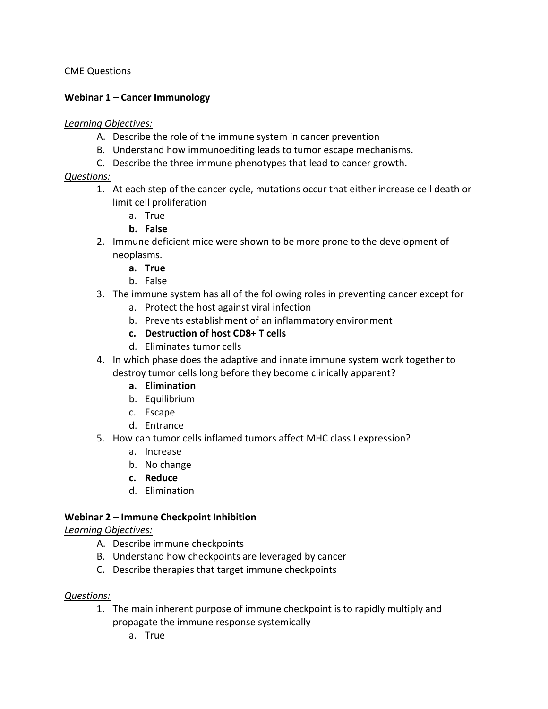CME Questions

#### **Webinar 1 – Cancer Immunology**

#### *Learning Objectives:*

- A. Describe the role of the immune system in cancer prevention
- B. Understand how immunoediting leads to tumor escape mechanisms.
- C. Describe the three immune phenotypes that lead to cancer growth.

### *Questions:*

- 1. At each step of the cancer cycle, mutations occur that either increase cell death or limit cell proliferation
	- a. True
	- **b. False**
- 2. Immune deficient mice were shown to be more prone to the development of neoplasms.
	- **a. True**
	- b. False
- 3. The immune system has all of the following roles in preventing cancer except for
	- a. Protect the host against viral infection
	- b. Prevents establishment of an inflammatory environment
	- **c. Destruction of host CD8+ T cells**
	- d. Eliminates tumor cells
- 4. In which phase does the adaptive and innate immune system work together to destroy tumor cells long before they become clinically apparent?
	- **a. Elimination**
	- b. Equilibrium
	- c. Escape
	- d. Entrance
- 5. How can tumor cells inflamed tumors affect MHC class I expression?
	- a. Increase
	- b. No change
	- **c. Reduce**
	- d. Elimination

### **Webinar 2 – Immune Checkpoint Inhibition**

### *Learning Objectives:*

- A. Describe immune checkpoints
- B. Understand how checkpoints are leveraged by cancer
- C. Describe therapies that target immune checkpoints

### *Questions:*

- 1. The main inherent purpose of immune checkpoint is to rapidly multiply and propagate the immune response systemically
	- a. True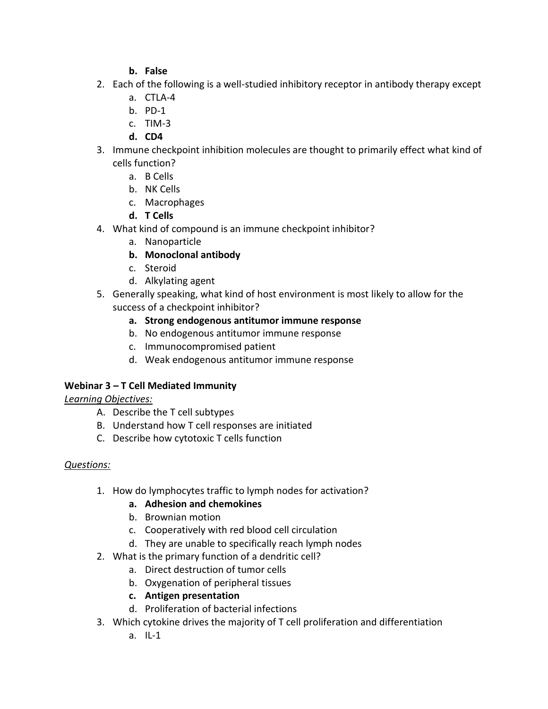### **b. False**

- 2. Each of the following is a well-studied inhibitory receptor in antibody therapy except
	- a. CTLA-4
	- b. PD-1
	- c. TIM-3
	- **d. CD4**
- 3. Immune checkpoint inhibition molecules are thought to primarily effect what kind of cells function?
	- a. B Cells
	- b. NK Cells
	- c. Macrophages
	- **d. T Cells**
- 4. What kind of compound is an immune checkpoint inhibitor?
	- a. Nanoparticle

# **b. Monoclonal antibody**

- c. Steroid
- d. Alkylating agent
- 5. Generally speaking, what kind of host environment is most likely to allow for the success of a checkpoint inhibitor?
	- **a. Strong endogenous antitumor immune response**
	- b. No endogenous antitumor immune response
	- c. Immunocompromised patient
	- d. Weak endogenous antitumor immune response

# **Webinar 3 – T Cell Mediated Immunity**

# *Learning Objectives:*

- A. Describe the T cell subtypes
- B. Understand how T cell responses are initiated
- C. Describe how cytotoxic T cells function

# *Questions:*

1. How do lymphocytes traffic to lymph nodes for activation?

# **a. Adhesion and chemokines**

- b. Brownian motion
- c. Cooperatively with red blood cell circulation
- d. They are unable to specifically reach lymph nodes
- 2. What is the primary function of a dendritic cell?
	- a. Direct destruction of tumor cells
	- b. Oxygenation of peripheral tissues
	- **c. Antigen presentation**
	- d. Proliferation of bacterial infections
- 3. Which cytokine drives the majority of T cell proliferation and differentiation
	- a. IL-1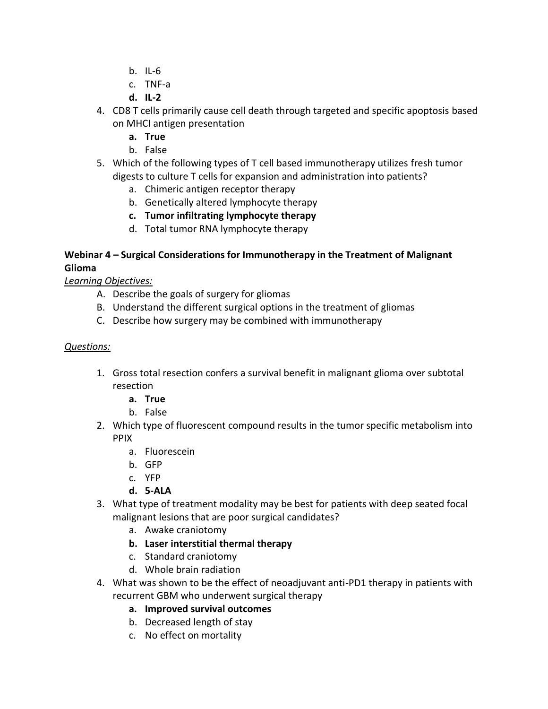- b. IL-6
- c. TNF-a
- **d. IL-2**
- 4. CD8 T cells primarily cause cell death through targeted and specific apoptosis based on MHCI antigen presentation
	- **a. True**
	- b. False
- 5. Which of the following types of T cell based immunotherapy utilizes fresh tumor digests to culture T cells for expansion and administration into patients?
	- a. Chimeric antigen receptor therapy
	- b. Genetically altered lymphocyte therapy
	- **c. Tumor infiltrating lymphocyte therapy**
	- d. Total tumor RNA lymphocyte therapy

### **Webinar 4 – Surgical Considerations for Immunotherapy in the Treatment of Malignant Glioma**

*Learning Objectives:*

- A. Describe the goals of surgery for gliomas
- B. Understand the different surgical options in the treatment of gliomas
- C. Describe how surgery may be combined with immunotherapy

### *Questions:*

- 1. Gross total resection confers a survival benefit in malignant glioma over subtotal resection
	- **a. True**
	- b. False
- 2. Which type of fluorescent compound results in the tumor specific metabolism into PPIX
	- a. Fluorescein
	- b. GFP
	- c. YFP
	- **d. 5-ALA**
- 3. What type of treatment modality may be best for patients with deep seated focal malignant lesions that are poor surgical candidates?
	- a. Awake craniotomy
	- **b. Laser interstitial thermal therapy**
	- c. Standard craniotomy
	- d. Whole brain radiation
- 4. What was shown to be the effect of neoadjuvant anti-PD1 therapy in patients with recurrent GBM who underwent surgical therapy
	- **a. Improved survival outcomes**
	- b. Decreased length of stay
	- c. No effect on mortality